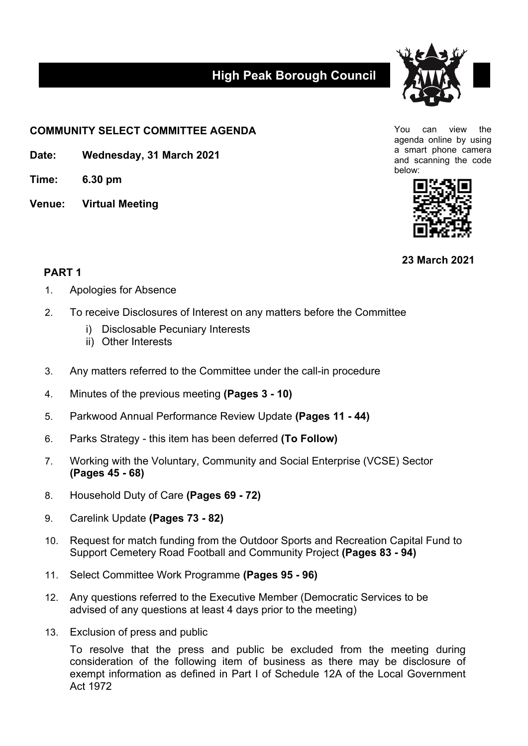## **High Peak Borough Council**



**COMMUNITY SELECT COMMITTEE AGENDA**

**Date: Wednesday, 31 March 2021**

**Time: 6.30 pm**

**Venue: Virtual Meeting**

You can view the agenda online by using a smart phone camera and scanning the code below:



**23 March 2021**

## **PART 1**

- 1. Apologies for Absence
- 2. To receive Disclosures of Interest on any matters before the Committee
	- i) Disclosable Pecuniary Interests
	- ii) Other Interests
- 3. Any matters referred to the Committee under the call-in procedure
- 4. Minutes of the previous meeting **(Pages 3 - 10)**
- 5. Parkwood Annual Performance Review Update **(Pages 11 - 44)**
- 6. Parks Strategy this item has been deferred **(To Follow)**
- 7. Working with the Voluntary, Community and Social Enterprise (VCSE) Sector **(Pages 45 - 68)**
- 8. Household Duty of Care **(Pages 69 - 72)**
- 9. Carelink Update **(Pages 73 - 82)**
- 10. Request for match funding from the Outdoor Sports and Recreation Capital Fund to Support Cemetery Road Football and Community Project **(Pages 83 - 94)**
- 11. Select Committee Work Programme **(Pages 95 - 96)**
- 12. Any questions referred to the Executive Member (Democratic Services to be advised of any questions at least 4 days prior to the meeting)
- 13. Exclusion of press and public

To resolve that the press and public be excluded from the meeting during consideration of the following item of business as there may be disclosure of exempt information as defined in Part I of Schedule 12A of the Local Government Act 1972